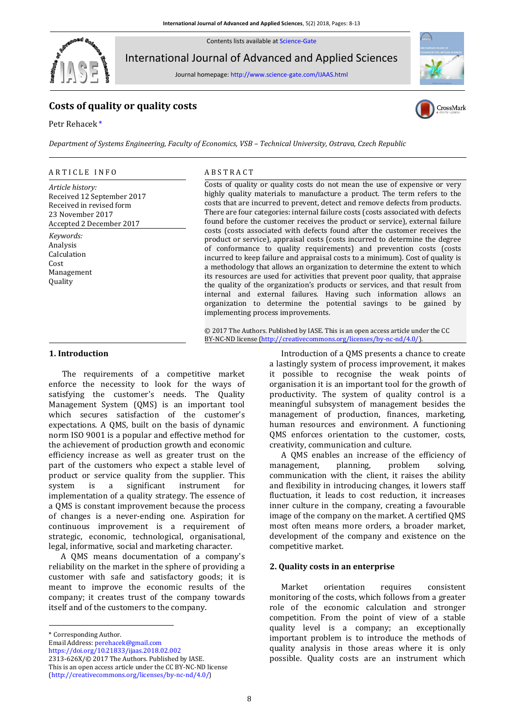Contents lists available a[t Science-Gate](http://www.science-gate.com/)



International Journal of Advanced and Applied Sciences

Journal homepage[: http://www.science-gate.com/IJAAS.html](http://www.science-gate.com/IJAAS.html)

# **Costs of quality or quality costs**

Petr Rehacek [\\*](#page-0-0)





*Department of Systems Engineering, Faculty of Economics, VSB – Technical University, Ostrava, Czech Republic*

### ARTICLE INFO ABSTRACT

*Article history:* Received 12 September 2017 Received in revised form 23 November 2017 Accepted 2 December 2017

*Keywords:* Analysis Calculation Cost Management Quality

Costs of quality or quality costs do not mean the use of expensive or very highly quality materials to manufacture a product. The term refers to the costs that are incurred to prevent, detect and remove defects from products. There are four categories: internal failure costs (costs associated with defects found before the customer receives the product or service), external failure costs (costs associated with defects found after the customer receives the product or service), appraisal costs (costs incurred to determine the degree of conformance to quality requirements) and prevention costs (costs incurred to keep failure and appraisal costs to a minimum). Cost of quality is a methodology that allows an organization to determine the extent to which its resources are used for activities that prevent poor quality, that appraise the quality of the organization's products or services, and that result from internal and external failures. Having such information allows an organization to determine the potential savings to be gained by implementing process improvements.

© 2017 The Authors. Published by IASE. This is an open access article under the CC BY-NC-ND license [\(http://creativecommons.org/licenses/by-nc-nd/4.0/\)](http://creativecommons.org/licenses/by-nc-nd/4.0/).

## **1. Introduction**

The requirements of a competitive market enforce the necessity to look for the ways of satisfying the customer's needs. The Quality Management System (QMS) is an important tool which secures satisfaction of the customer's expectations. A QMS, built on the basis of dynamic norm ISO 9001 is a popular and effective method for the achievement of production growth and economic efficiency increase as well as greater trust on the part of the customers who expect a stable level of product or service quality from the supplier. This system is a significant instrument for implementation of a quality strategy. The essence of a QMS is constant improvement because the process of changes is a never-ending one. Aspiration for continuous improvement is a requirement of strategic, economic, technological, organisational, legal, informative, social and marketing character.

A QMS means documentation of a company's reliability on the market in the sphere of providing a customer with safe and satisfactory goods; it is meant to improve the economic results of the company; it creates trust of the company towards itself and of the customers to the company.

1

Email Address[: perehacek@gmail.com](mailto:perehacek@gmail.com)

Introduction of a QMS presents a chance to create a lastingly system of process improvement, it makes it possible to recognise the weak points of organisation it is an important tool for the growth of productivity. The system of quality control is a meaningful subsystem of management besides the management of production, finances, marketing, human resources and environment. A functioning QMS enforces orientation to the customer, costs, creativity, communication and culture.

A QMS enables an increase of the efficiency of management, planning, problem solving, communication with the client, it raises the ability and flexibility in introducing changes, it lowers staff fluctuation, it leads to cost reduction, it increases inner culture in the company, creating a favourable image of the company on the market. A certified QMS most often means more orders, a broader market, development of the company and existence on the competitive market.

#### **2. Quality costs in an enterprise**

Market orientation requires consistent monitoring of the costs, which follows from a greater role of the economic calculation and stronger competition. From the point of view of a stable quality level is a company; an exceptionally important problem is to introduce the methods of quality analysis in those areas where it is only possible. Quality costs are an instrument which

<span id="page-0-0"></span><sup>\*</sup> Corresponding Author.

<https://doi.org/10.21833/ijaas.2018.02.002>

<sup>2313-626</sup>X/© 2017 The Authors. Published by IASE. This is an open access article under the CC BY-NC-ND license [\(http://creativecommons.org/licenses/by-nc-nd/4.0/\)](http://creativecommons.org/licenses/by-nc-nd/4.0/)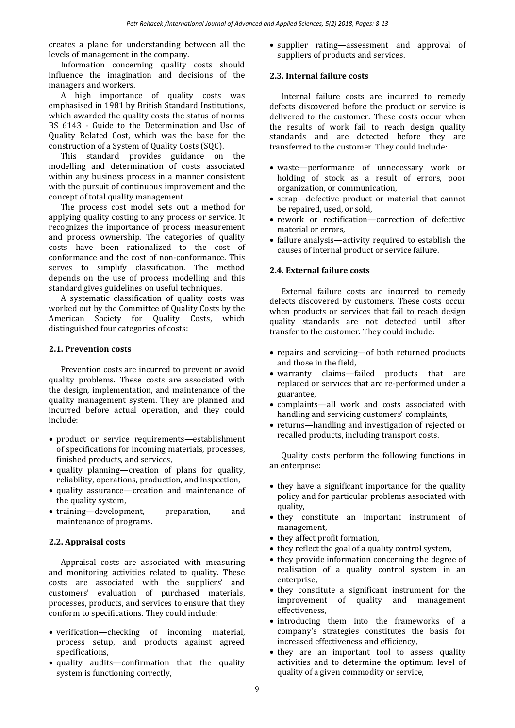creates a plane for understanding between all the levels of management in the company.

Information concerning quality costs should influence the imagination and decisions of the managers and workers.

A high importance of quality costs was emphasised in 1981 by British Standard Institutions, which awarded the quality costs the status of norms BS 6143 - Guide to the Determination and Use of Quality Related Cost, which was the base for the construction of a System of Quality Costs (SQC).

This standard provides guidance on the modelling and determination of costs associated within any business process in a manner consistent with the pursuit of continuous improvement and the concept of total quality management.

The process cost model sets out a method for applying quality costing to any process or service. It recognizes the importance of process measurement and process ownership. The categories of quality costs have been rationalized to the cost of conformance and the cost of non-conformance. This serves to simplify classification. The method depends on the use of process modelling and this standard gives guidelines on useful techniques.

A systematic classification of quality costs was worked out by the Committee of Quality Costs by the American Society for Quality Costs, which distinguished four categories of costs:

## **2.1. Prevention costs**

Prevention costs are incurred to prevent or avoid quality problems. These costs are associated with the design, implementation, and maintenance of the quality management system. They are planned and incurred before actual operation, and they could include:

- product or service requirements—establishment of specifications for incoming materials, processes, finished products, and services,
- quality planning—creation of plans for quality, reliability, operations, production, and inspection,
- quality assurance—creation and maintenance of the quality system,
- training—development, preparation, and maintenance of programs.

## **2.2. Appraisal costs**

Appraisal costs are associated with measuring and monitoring activities related to quality. These costs are associated with the suppliers' and customers' evaluation of purchased materials, processes, products, and services to ensure that they conform to specifications. They could include:

- verification—checking of incoming material, process setup, and products against agreed specifications,
- quality audits—confirmation that the quality system is functioning correctly,

• supplier rating—assessment and approval of suppliers of products and services.

## **2.3. Internal failure costs**

Internal failure costs are incurred to remedy defects discovered before the product or service is delivered to the customer. These costs occur when the results of work fail to reach design quality standards and are detected before they are transferred to the customer. They could include:

- waste—performance of unnecessary work or holding of stock as a result of errors, poor organization, or communication,
- scrap—defective product or material that cannot be repaired, used, or sold,
- rework or rectification—correction of defective material or errors,
- failure analysis—activity required to establish the causes of internal product or service failure.

## **2.4. External failure costs**

External failure costs are incurred to remedy defects discovered by customers. These costs occur when products or services that fail to reach design quality standards are not detected until after transfer to the customer. They could include:

- repairs and servicing—of both returned products and those in the field,
- warranty claims—failed products that are replaced or services that are re-performed under a guarantee,
- complaints—all work and costs associated with handling and servicing customers' complaints,
- returns—handling and investigation of rejected or recalled products, including transport costs.

Quality costs perform the following functions in an enterprise:

- they have a significant importance for the quality policy and for particular problems associated with quality,
- they constitute an important instrument of management,
- they affect profit formation,
- $\bullet$  they reflect the goal of a quality control system,
- they provide information concerning the degree of realisation of a quality control system in an enterprise,
- they constitute a significant instrument for the improvement of quality and management effectiveness,
- introducing them into the frameworks of a company's strategies constitutes the basis for increased effectiveness and efficiency,
- they are an important tool to assess quality activities and to determine the optimum level of quality of a given commodity or service,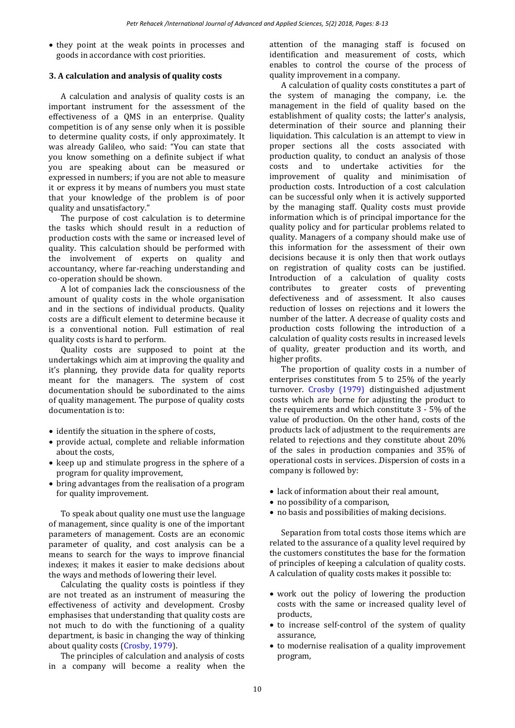• they point at the weak points in processes and goods in accordance with cost priorities.

## **3. A calculation and analysis of quality costs**

A calculation and analysis of quality costs is an important instrument for the assessment of the effectiveness of a QMS in an enterprise. Quality competition is of any sense only when it is possible to determine quality costs, if only approximately. It was already Galileo, who said: "You can state that you know something on a definite subject if what you are speaking about can be measured or expressed in numbers; if you are not able to measure it or express it by means of numbers you must state that your knowledge of the problem is of poor quality and unsatisfactory."

The purpose of cost calculation is to determine the tasks which should result in a reduction of production costs with the same or increased level of quality. This calculation should be performed with the involvement of experts on quality and accountancy, where far-reaching understanding and co-operation should be shown.

A lot of companies lack the consciousness of the amount of quality costs in the whole organisation and in the sections of individual products. Quality costs are a difficult element to determine because it is a conventional notion. Full estimation of real quality costs is hard to perform.

Quality costs are supposed to point at the undertakings which aim at improving the quality and it's planning, they provide data for quality reports meant for the managers. The system of cost documentation should be subordinated to the aims of quality management. The purpose of quality costs documentation is to:

- identify the situation in the sphere of costs,
- $\bullet$  provide actual, complete and reliable information about the costs,
- $\bullet$  keep up and stimulate progress in the sphere of a program for quality improvement,
- bring advantages from the realisation of a program for quality improvement.

To speak about quality one must use the language of management, since quality is one of the important parameters of management. Costs are an economic parameter of quality, and cost analysis can be a means to search for the ways to improve financial indexes; it makes it easier to make decisions about the ways and methods of lowering their level.

Calculating the quality costs is pointless if they are not treated as an instrument of measuring the effectiveness of activity and development. Crosby emphasises that understanding that quality costs are not much to do with the functioning of a quality department, is basic in changing the way of thinking about quality costs [\(Crosby, 1979\)](#page-5-0).

The principles of calculation and analysis of costs in a company will become a reality when the attention of the managing staff is focused on identification and measurement of costs, which enables to control the course of the process of quality improvement in a company.

A calculation of quality costs constitutes a part of the system of managing the company, i.e. the management in the field of quality based on the establishment of quality costs; the latter's analysis, determination of their source and planning their liquidation. This calculation is an attempt to view in proper sections all the costs associated with production quality, to conduct an analysis of those costs and to undertake activities for the improvement of quality and minimisation of production costs. Introduction of a cost calculation can be successful only when it is actively supported by the managing staff. Quality costs must provide information which is of principal importance for the quality policy and for particular problems related to quality. Managers of a company should make use of this information for the assessment of their own decisions because it is only then that work outlays on registration of quality costs can be justified. Introduction of a calculation of quality costs contributes to greater costs of preventing defectiveness and of assessment. It also causes reduction of losses on rejections and it lowers the number of the latter. A decrease of quality costs and production costs following the introduction of a calculation of quality costs results in increased levels of quality, greater production and its worth, and higher profits.

The proportion of quality costs in a number of enterprises constitutes from 5 to 25% of the yearly turnover. [Crosby \(1979\)](#page-5-0) distinguished adjustment costs which are borne for adjusting the product to the requirements and which constitute 3 - 5% of the value of production. On the other hand, costs of the products lack of adjustment to the requirements are related to rejections and they constitute about 20% of the sales in production companies and 35% of operational costs in services. Dispersion of costs in a company is followed by:

- lack of information about their real amount,
- no possibility of a comparison,
- no basis and possibilities of making decisions.

Separation from total costs those items which are related to the assurance of a quality level required by the customers constitutes the base for the formation of principles of keeping a calculation of quality costs. A calculation of quality costs makes it possible to:

- work out the policy of lowering the production costs with the same or increased quality level of products,
- to increase self-control of the system of quality assurance,
- to modernise realisation of a quality improvement program,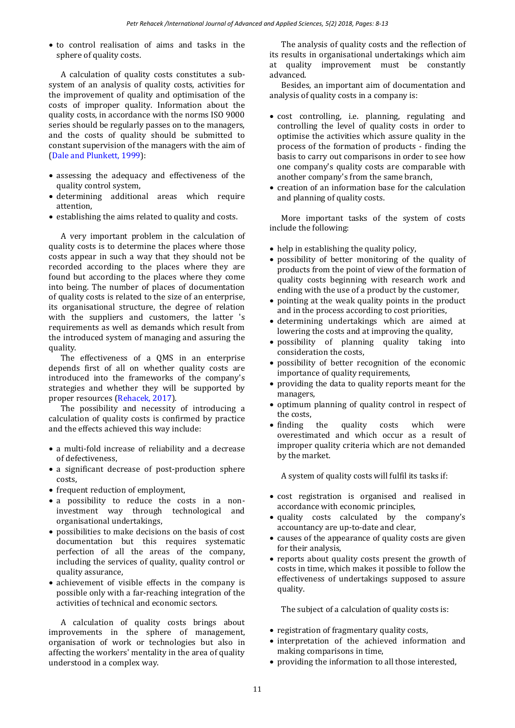to control realisation of aims and tasks in the sphere of quality costs.

A calculation of quality costs constitutes a subsystem of an analysis of quality costs, activities for the improvement of quality and optimisation of the costs of improper quality. Information about the quality costs, in accordance with the norms ISO 9000 series should be regularly passes on to the managers, and the costs of quality should be submitted to constant supervision of the managers with the aim of [\(Dale and Plunkett, 1999\)](#page-5-0):

- assessing the adequacy and effectiveness of the quality control system,
- determining additional areas which require attention,
- establishing the aims related to quality and costs.

A very important problem in the calculation of quality costs is to determine the places where those costs appear in such a way that they should not be recorded according to the places where they are found but according to the places where they come into being. The number of places of documentation of quality costs is related to the size of an enterprise, its organisational structure, the degree of relation with the suppliers and customers, the latter 's requirements as well as demands which result from the introduced system of managing and assuring the quality.

The effectiveness of a QMS in an enterprise depends first of all on whether quality costs are introduced into the frameworks of the company's strategies and whether they will be supported by proper resources [\(Rehacek, 2017\)](#page-5-0).

The possibility and necessity of introducing a calculation of quality costs is confirmed by practice and the effects achieved this way include:

- a multi-fold increase of reliability and a decrease of defectiveness,
- a significant decrease of post-production sphere costs,
- frequent reduction of employment.
- a possibility to reduce the costs in a noninvestment way through technological and organisational undertakings,
- possibilities to make decisions on the basis of cost documentation but this requires systematic perfection of all the areas of the company, including the services of quality, quality control or quality assurance,
- achievement of visible effects in the company is possible only with a far-reaching integration of the activities of technical and economic sectors.

A calculation of quality costs brings about improvements in the sphere of management, organisation of work or technologies but also in affecting the workers' mentality in the area of quality understood in a complex way.

The analysis of quality costs and the reflection of its results in organisational undertakings which aim at quality improvement must be constantly advanced.

Besides, an important aim of documentation and analysis of quality costs in a company is:

- cost controlling, i.e. planning, regulating and controlling the level of quality costs in order to optimise the activities which assure quality in the process of the formation of products - finding the basis to carry out comparisons in order to see how one company's quality costs are comparable with another company's from the same branch,
- creation of an information base for the calculation and planning of quality costs.

More important tasks of the system of costs include the following:

- help in establishing the quality policy,
- possibility of better monitoring of the quality of products from the point of view of the formation of quality costs beginning with research work and ending with the use of a product by the customer,
- pointing at the weak quality points in the product and in the process according to cost priorities,
- determining undertakings which are aimed at lowering the costs and at improving the quality,
- possibility of planning quality taking into consideration the costs,
- possibility of better recognition of the economic importance of quality requirements,
- providing the data to quality reports meant for the managers,
- optimum planning of quality control in respect of the costs,
- finding the quality costs which were overestimated and which occur as a result of improper quality criteria which are not demanded by the market.

A system of quality costs will fulfil its tasks if:

- cost registration is organised and realised in accordance with economic principles,
- quality costs calculated by the company's accountancy are up-to-date and clear,
- causes of the appearance of quality costs are given for their analysis,
- reports about quality costs present the growth of costs in time, which makes it possible to follow the effectiveness of undertakings supposed to assure quality.

The subject of a calculation of quality costs is:

- registration of fragmentary quality costs,
- interpretation of the achieved information and making comparisons in time,
- providing the information to all those interested,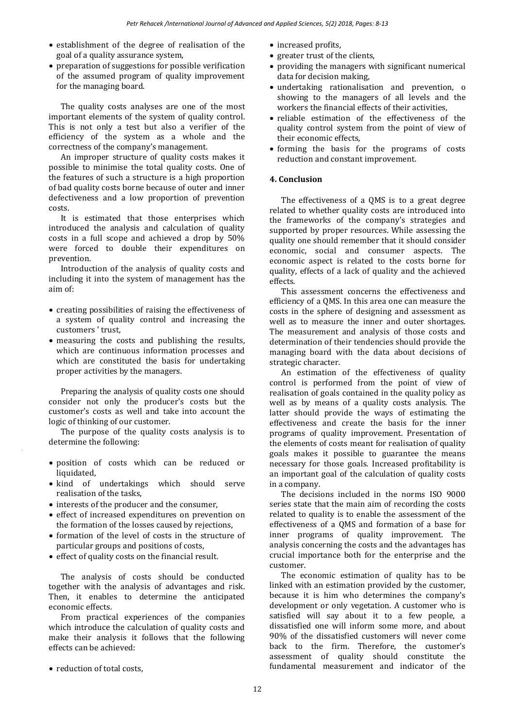- establishment of the degree of realisation of the goal of a quality assurance system,
- preparation of suggestions for possible verification of the assumed program of quality improvement for the managing board.

The quality costs analyses are one of the most important elements of the system of quality control. This is not only a test but also a verifier of the efficiency of the system as a whole and the correctness of the company's management.

An improper structure of quality costs makes it possible to minimise the total quality costs. One of the features of such a structure is a high proportion of bad quality costs borne because of outer and inner defectiveness and a low proportion of prevention costs.

It is estimated that those enterprises which introduced the analysis and calculation of quality costs in a full scope and achieved a drop by 50% were forced to double their expenditures on prevention.

Introduction of the analysis of quality costs and including it into the system of management has the aim of:

- creating possibilities of raising the effectiveness of a system of quality control and increasing the customers ' trust,
- measuring the costs and publishing the results, which are continuous information processes and which are constituted the basis for undertaking proper activities by the managers.

Preparing the analysis of quality costs one should consider not only the producer's costs but the customer's costs as well and take into account the logic of thinking of our customer.

The purpose of the quality costs analysis is to determine the following:

- position of costs which can be reduced or liquidated,
- kind of undertakings which should serve realisation of the tasks,
- interests of the producer and the consumer,
- effect of increased expenditures on prevention on the formation of the losses caused by rejections,
- formation of the level of costs in the structure of particular groups and positions of costs,
- effect of quality costs on the financial result.

The analysis of costs should be conducted together with the analysis of advantages and risk. Then, it enables to determine the anticipated economic effects.

From practical experiences of the companies which introduce the calculation of quality costs and make their analysis it follows that the following effects can be achieved:

• reduction of total costs.

- increased profits,
- greater trust of the clients.
- providing the managers with significant numerical data for decision making,
- undertaking rationalisation and prevention, o showing to the managers of all levels and the workers the financial effects of their activities,
- reliable estimation of the effectiveness of the quality control system from the point of view of their economic effects,
- forming the basis for the programs of costs reduction and constant improvement.

## **4. Conclusion**

The effectiveness of a QMS is to a great degree related to whether quality costs are introduced into the frameworks of the company's strategies and supported by proper resources. While assessing the quality one should remember that it should consider economic, social and consumer aspects. The economic aspect is related to the costs borne for quality, effects of a lack of quality and the achieved effects.

This assessment concerns the effectiveness and efficiency of a QMS. In this area one can measure the costs in the sphere of designing and assessment as well as to measure the inner and outer shortages. The measurement and analysis of those costs and determination of their tendencies should provide the managing board with the data about decisions of strategic character.

An estimation of the effectiveness of quality control is performed from the point of view of realisation of goals contained in the quality policy as well as by means of a quality costs analysis. The latter should provide the ways of estimating the effectiveness and create the basis for the inner programs of quality improvement. Presentation of the elements of costs meant for realisation of quality goals makes it possible to guarantee the means necessary for those goals. Increased profitability is an important goal of the calculation of quality costs in a company.

The decisions included in the norms ISO 9000 series state that the main aim of recording the costs related to quality is to enable the assessment of the effectiveness of a QMS and formation of a base for inner programs of quality improvement. The analysis concerning the costs and the advantages has crucial importance both for the enterprise and the customer.

The economic estimation of quality has to be linked with an estimation provided by the customer, because it is him who determines the company's development or only vegetation. A customer who is satisfied will say about it to a few people, a dissatisfied one will inform some more, and about 90% of the dissatisfied customers will never come back to the firm. Therefore, the customer's assessment of quality should constitute the fundamental measurement and indicator of the